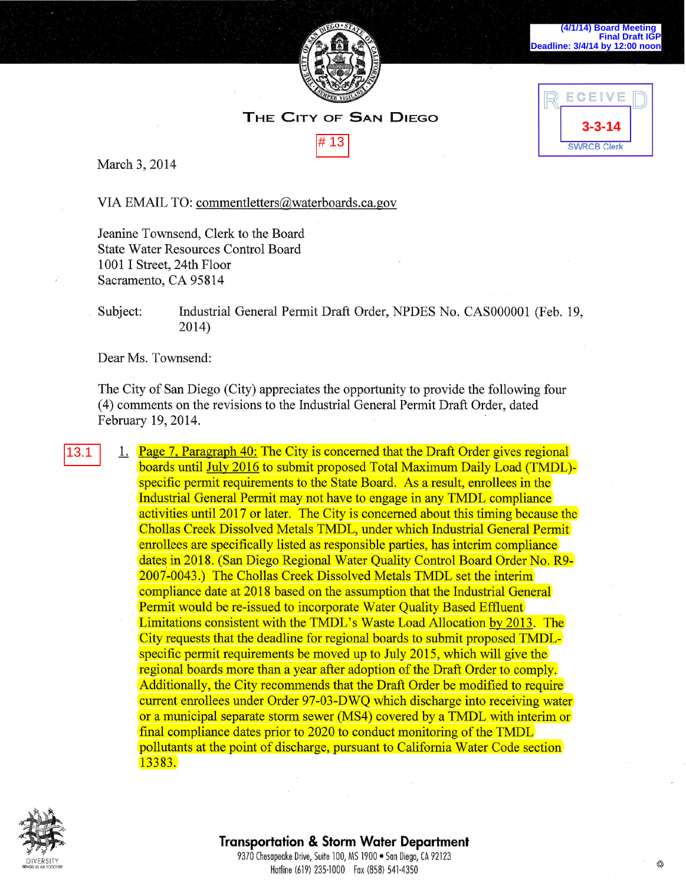

**3-3-14**

ECEIVE

**SWRCB Clerk** 

## **THE CITY OF SAN DIEGO**



March 3, 2014

VIA EMAIL TO: commentletters@waterboards.ca.gov

Jeanine Townsend, Clerk to the Board State Water Resources Control Board 1001 I Street, 24th Floor Sacramento, CA 95814

## Subject: Industrial General Permit Draft Order, NPDES No. CAS000001 (Feb. 19, 2014)

Dear Ms. Townsend:

The City of San Diego (City) appreciates the opportunity to provide the following four ( 4) comments on the revisions to the Industrial General Permit Draft Order, dated February 19, 2014.

1. Page 7, Paragraph 40: The City is concerned that the Draft Order gives regional boards until July 2016 to submit proposed Total Maximum Daily Load (TMDL) specific permit requirements to the State Board. As a result, enrollees in the Industrial General Permit may not have to engage in any TMDL compliance activities until 2017 or later. The City is concerned about this timing because the Chollas Creek Dissolved Metals TMDL, under which Industrial General Permit enrollees are specifically listed as responsible parties, has interim compliance dates in 2018. (San Diego Regional Water Quality Control Board Order No. R9- 2007-0043.) The Chollas Creek Dissolved Metals TMDL set the interim compliance date at 2018 based on the assumption that the Industrial General Permit would be re-issued to incorporate Water Quality Based Effluent Limitations consistent with the TMDL's Waste Load Allocation by 2013. The City requests that the deadline for regional boards to submit proposed TMDLspecific permit requirements be moved up to July 2015, which will give the regional boards more than a year after adoption of the Draft Order to comply. Additionally, the City recommends that the Draft Order be modified to require current enrollees under Order 97-03-DWQ which discharge into receiving water or a municipal separate storm sewer (MS4) covered by a TMDL with interim or final compliance dates prior to 2020 to conduct monitoring of the TMDL pollutants at the point of discharge, pursuant to California Water Code section 13383. March 3, 2014<br>
WIA EMAIL TO: <u>commentletters@waterboards.ca.gov</u><br>
Jeanine Townsend, Clerk to the Board<br>
State Water Resources Control Board<br>
State Water Resources Control Board<br>
10011 Street, 24th Floor<br>
Sacramento, CA 95



## **Transportation & Storm Water Department**

9370 Chesapeake Drive, Suite 100, MS 1900 · San Diego, CA 92123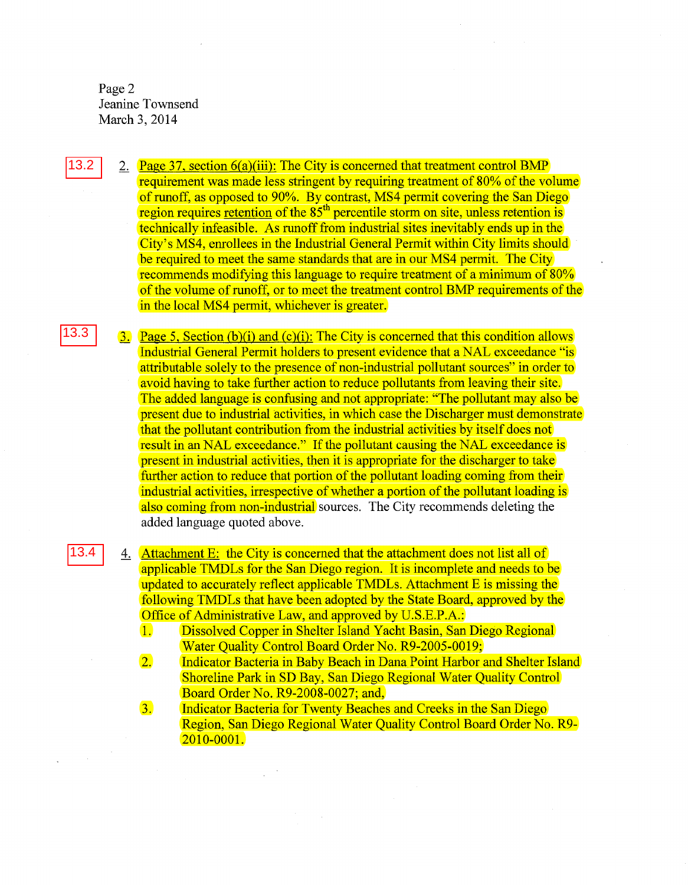Page 2 Jeanine Townsend March 3, 2014

> 2. Page 37, section  $6(a)(iii)$ : The City is concerned that treatment control BMP requirement was made less stringent by requiring treatment of 80% of the volume of runoff, as opposed to 90%. By contrast, MS4 permit covering the San Diego region requires retention of the  $85<sup>th</sup>$  percentile storm on site, unless retention is technically infeasible. As runoff from industrial sites inevitably ends up in the City's MS4, emollees in the Industrial General Permit within City limits should be required to meet the same standards that are in our MS4 permit. The City recommends modifying this language to require treatment of a minimum of 80% of the volume of runoff, or to meet the treatment control BMP requirements of the in the local MS4 permit, whichever is greater.

 $\overline{3}$ . Page 5, Section (b)(i) and (c)(i): The City is concerned that this condition allows Industrial General Permit holders to present evidence that aNAL exceedance "is attributable solely to the presence of non-industrial pollutant sources" in order to avoid having to take further action to reduce pollutants from leaving their site. The added language is confusing and not appropriate: "The pollutant may also be present due to industrial activities, in which case the Discharger must demonstrate that the pollutant contribution from the industrial activities by itself does not result in an NAL exceedance." If the pollutant causing the NAL exceedance is present in industrial activities, then it is appropriate for the discharger to take further action to reduce that portion of the pollutant loading coming from their industrial activities, irrespective of whether a portion of the pollutant loading is also coming from non-industrial sources. The City recommends deleting the added language quoted above.

4. Attachment E: the City is concerned that the attachment does not list all of applicable TMDLs for the San Diego region. It is incomplete and needs to be updated to accurately reflect applicable TMDLs. Attachment E is missing the following TMDLs that have been adopted by the State Board, approved by the Office of Administrative Law, and approved by U.S.E.P.A.:

1. Dissolved Copper in Shelter Island Yacht Basin, San Diego Regional Water Quality Control Board Order No. R9-2005-0019;

2. Indicator Bacteria in Baby Beach in Dana Point Harbor and Shelter Island Shoreline Park in SD Bay, San Diego Regional Water Quality Control Board Order No. R9-2008-0027; and,

3. Indicator Bacteria for Twenty Beaches and Creeks in the San Diego Region, San Diego Regional Water Quality Control Board Order No. R9- 2010-0001.

13.3

13.2

13.4